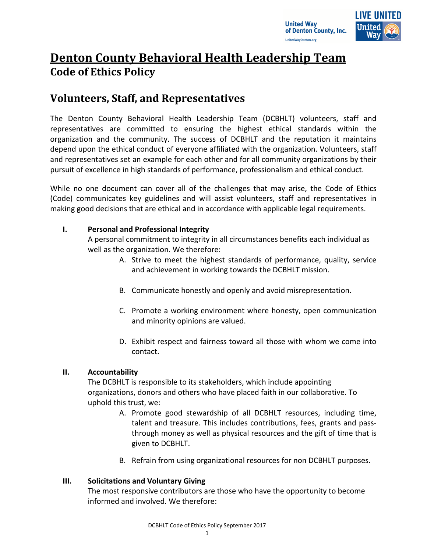



# **Denton County Behavioral Health Leadership Team Code of Ethics Policy**

## **Volunteers, Staff, and Representatives**

The Denton County Behavioral Health Leadership Team (DCBHLT) volunteers, staff and representatives are committed to ensuring the highest ethical standards within the organization and the community. The success of DCBHLT and the reputation it maintains depend upon the ethical conduct of everyone affiliated with the organization. Volunteers, staff and representatives set an example for each other and for all community organizations by their pursuit of excellence in high standards of performance, professionalism and ethical conduct.

While no one document can cover all of the challenges that may arise, the Code of Ethics (Code) communicates key guidelines and will assist volunteers, staff and representatives in making good decisions that are ethical and in accordance with applicable legal requirements.

## **I. Personal and Professional Integrity**

A personal commitment to integrity in all circumstances benefits each individual as well as the organization. We therefore:

- A. Strive to meet the highest standards of performance, quality, service and achievement in working towards the DCBHLT mission.
- B. Communicate honestly and openly and avoid misrepresentation.
- C. Promote a working environment where honesty, open communication and minority opinions are valued.
- D. Exhibit respect and fairness toward all those with whom we come into contact.

## **II. Accountability**

The DCBHLT is responsible to its stakeholders, which include appointing organizations, donors and others who have placed faith in our collaborative. To uphold this trust, we:

- A. Promote good stewardship of all DCBHLT resources, including time, talent and treasure. This includes contributions, fees, grants and passthrough money as well as physical resources and the gift of time that is given to DCBHLT.
- B. Refrain from using organizational resources for non DCBHLT purposes.

## **III. Solicitations and Voluntary Giving**

The most responsive contributors are those who have the opportunity to become informed and involved. We therefore: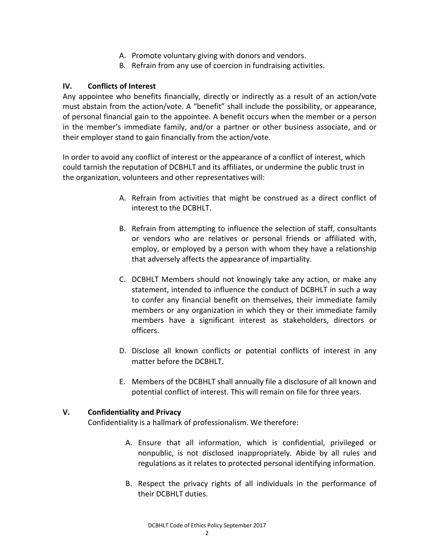- A. Promote voluntary giving with donors and vendors.
- B. Refrain from any use of coercion in fundraising activities.

#### **IV. Conflicts of Interest**

Any appointee who benefits financially, directly or indirectly as a result of an action/vote must abstain from the action/vote. A "benefit" shall include the possibility, or appearance, of personal financial gain to the appointee. A benefit occurs when the member or a person in the member's immediate family, and/or a partner or other business associate, and or their employer stand to gain financially from the action/vote.

In order to avoid any conflict of interest or the appearance of a conflict of interest, which could tarnish the reputation of DCBHLT and its affiliates, or undermine the public trust in the organization, volunteers and other representatives will:

- A. Refrain from activities that might be construed as a direct conflict of interest to the DCBHLT.
- B. Refrain from attempting to influence the selection of staff, consultants or vendors who are relatives or personal friends or affiliated with, employ, or employed by a person with whom they have a relationship that adversely affects the appearance of impartiality.
- C. DCBHLT Members should not knowingly take any action, or make any statement, intended to influence the conduct of DCBHLT in such a way to confer any financial benefit on themselves, their immediate family members or any organization in which they or their immediate family members have a significant interest as stakeholders, directors or officers.
- D. Disclose all known conflicts or potential conflicts of interest in any matter before the DCBHLT.
- E. Members of the DCBHLT shall annually file a disclosure of all known and potential conflict of interest. This will remain on file for three years.

#### **V. Confidentiality and Privacy**

Confidentiality is a hallmark of professionalism. We therefore:

- A. Ensure that all information, which is confidential, privileged or nonpublic, is not disclosed inappropriately. Abide by all rules and regulations as it relates to protected personal identifying information.
- B. Respect the privacy rights of all individuals in the performance of their DCBHLT duties.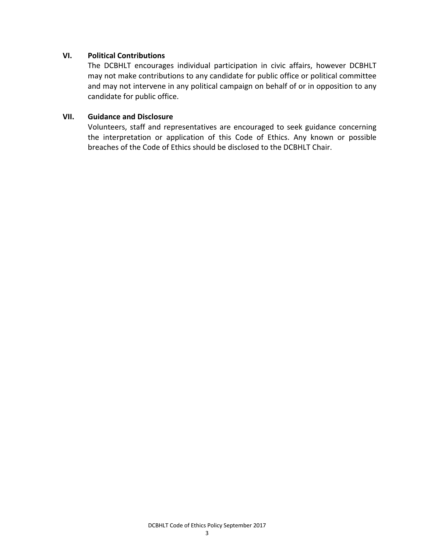#### **VI. Political Contributions**

The DCBHLT encourages individual participation in civic affairs, however DCBHLT may not make contributions to any candidate for public office or political committee and may not intervene in any political campaign on behalf of or in opposition to any candidate for public office.

#### **VII. Guidance and Disclosure**

Volunteers, staff and representatives are encouraged to seek guidance concerning the interpretation or application of this Code of Ethics. Any known or possible breaches of the Code of Ethics should be disclosed to the DCBHLT Chair.